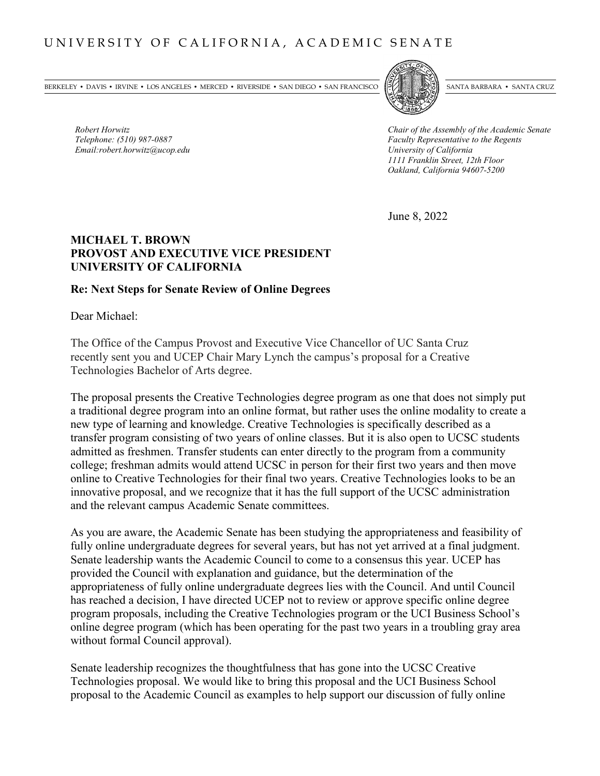BERKELEY • DAVIS • IRVINE • LOS ANGELES • MERCED • RIVERSIDE • SAN DIEGO • SAN FRANCISCO [57] SANTA BARBARA • SANTA CRUZ



*Robert Horwitz*<br> *Robert Horwitz Chair of the Assembly of the Academic Senate*<br> *Faculty Representative to the Regents Telephone: (510) 987-0887 Faculty Representative to the Regents 1111 Franklin Street, 12th Floor Oakland, California 94607-5200*

June 8, 2022

## **MICHAEL T. BROWN PROVOST AND EXECUTIVE VICE PRESIDENT UNIVERSITY OF CALIFORNIA**

## **Re: Next Steps for Senate Review of Online Degrees**

Dear Michael:

*Email:robert.horwitz@ucop.edu University of California*

The Office of the Campus Provost and Executive Vice Chancellor of UC Santa Cruz recently sent you and UCEP Chair Mary Lynch the campus's proposal for a Creative Technologies Bachelor of Arts degree.

The proposal presents the Creative Technologies degree program as one that does not simply put a traditional degree program into an online format, but rather uses the online modality to create a new type of learning and knowledge. Creative Technologies is specifically described as a transfer program consisting of two years of online classes. But it is also open to UCSC students admitted as freshmen. Transfer students can enter directly to the program from a community college; freshman admits would attend UCSC in person for their first two years and then move online to Creative Technologies for their final two years. Creative Technologies looks to be an innovative proposal, and we recognize that it has the full support of the UCSC administration and the relevant campus Academic Senate committees.

As you are aware, the Academic Senate has been studying the appropriateness and feasibility of fully online undergraduate degrees for several years, but has not yet arrived at a final judgment. Senate leadership wants the Academic Council to come to a consensus this year. UCEP has provided the Council with explanation and guidance, but the determination of the appropriateness of fully online undergraduate degrees lies with the Council. And until Council has reached a decision, I have directed UCEP not to review or approve specific online degree program proposals, including the Creative Technologies program or the UCI Business School's online degree program (which has been operating for the past two years in a troubling gray area without formal Council approval).

Senate leadership recognizes the thoughtfulness that has gone into the UCSC Creative Technologies proposal. We would like to bring this proposal and the UCI Business School proposal to the Academic Council as examples to help support our discussion of fully online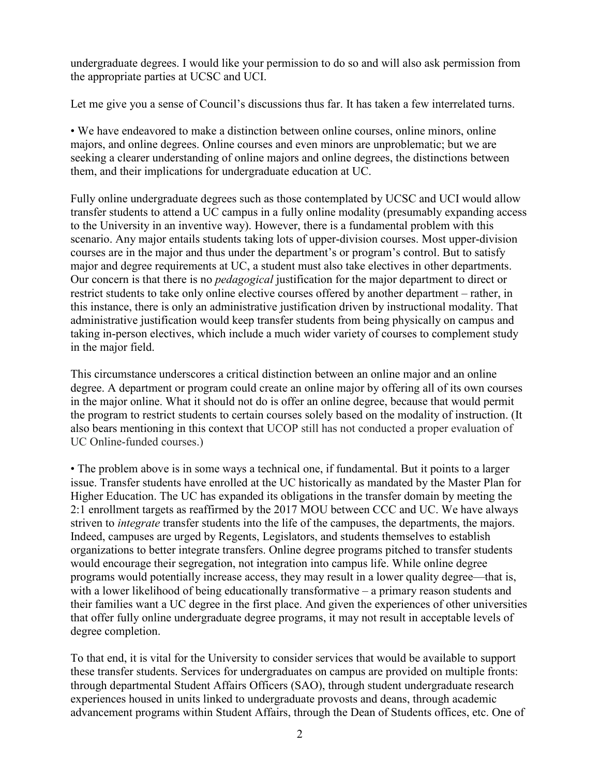undergraduate degrees. I would like your permission to do so and will also ask permission from the appropriate parties at UCSC and UCI.

Let me give you a sense of Council's discussions thus far. It has taken a few interrelated turns.

• We have endeavored to make a distinction between online courses, online minors, online majors, and online degrees. Online courses and even minors are unproblematic; but we are seeking a clearer understanding of online majors and online degrees, the distinctions between them, and their implications for undergraduate education at UC.

Fully online undergraduate degrees such as those contemplated by UCSC and UCI would allow transfer students to attend a UC campus in a fully online modality (presumably expanding access to the University in an inventive way). However, there is a fundamental problem with this scenario. Any major entails students taking lots of upper-division courses. Most upper-division courses are in the major and thus under the department's or program's control. But to satisfy major and degree requirements at UC, a student must also take electives in other departments. Our concern is that there is no *pedagogical* justification for the major department to direct or restrict students to take only online elective courses offered by another department – rather, in this instance, there is only an administrative justification driven by instructional modality. That administrative justification would keep transfer students from being physically on campus and taking in-person electives, which include a much wider variety of courses to complement study in the major field.

This circumstance underscores a critical distinction between an online major and an online degree. A department or program could create an online major by offering all of its own courses in the major online. What it should not do is offer an online degree, because that would permit the program to restrict students to certain courses solely based on the modality of instruction. (It also bears mentioning in this context that UCOP still has not conducted a proper evaluation of UC Online-funded courses.)

• The problem above is in some ways a technical one, if fundamental. But it points to a larger issue. Transfer students have enrolled at the UC historically as mandated by the Master Plan for Higher Education. The UC has expanded its obligations in the transfer domain by meeting the 2:1 enrollment targets as reaffirmed by the 2017 MOU between CCC and UC. We have always striven to *integrate* transfer students into the life of the campuses, the departments, the majors. Indeed, campuses are urged by Regents, Legislators, and students themselves to establish organizations to better integrate transfers. Online degree programs pitched to transfer students would encourage their segregation, not integration into campus life. While online degree programs would potentially increase access, they may result in a lower quality degree—that is, with a lower likelihood of being educationally transformative – a primary reason students and their families want a UC degree in the first place. And given the experiences of other universities that offer fully online undergraduate degree programs, it may not result in acceptable levels of degree completion.

To that end, it is vital for the University to consider services that would be available to support these transfer students. Services for undergraduates on campus are provided on multiple fronts: through departmental Student Affairs Officers (SAO), through student undergraduate research experiences housed in units linked to undergraduate provosts and deans, through academic advancement programs within Student Affairs, through the Dean of Students offices, etc. One of